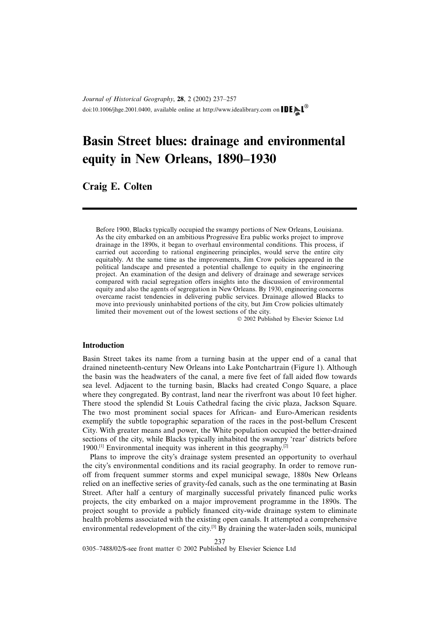*Journal of Historical Geography*, **28**, 2 (2002) 237–257 doi:10.1006/jhge.2001.0400, available online at http://www.idealibrary.com on  $\text{IDE} \blacktriangleright \text{LP}^{\text{®}}$ 

# **Basin Street blues: drainage and environmental equity in New Orleans, 1890–1930**

**Craig E. Colten**

Before 1900, Blacks typically occupied the swampy portions of New Orleans, Louisiana. As the city embarked on an ambitious Progressive Era public works project to improve drainage in the 1890s, it began to overhaul environmental conditions. This process, if carried out according to rational engineering principles, would serve the entire city equitably. At the same time as the improvements, Jim Crow policies appeared in the political landscape and presented a potential challenge to equity in the engineering project. An examination of the design and delivery of drainage and sewerage services compared with racial segregation offers insights into the discussion of environmental equity and also the agents of segregation in New Orleans. By 1930, engineering concerns overcame racist tendencies in delivering public services. Drainage allowed Blacks to move into previously uninhabited portions of the city, but Jim Crow policies ultimately limited their movement out of the lowest sections of the city.

2002 Published by Elsevier Science Ltd

## **Introduction**

Basin Street takes its name from a turning basin at the upper end of a canal that drained nineteenth-century New Orleans into Lake Pontchartrain (Figure 1). Although the basin was the headwaters of the canal, a mere five feet of fall aided flow towards sea level. Adjacent to the turning basin, Blacks had created Congo Square, a place where they congregated. By contrast, land near the riverfront was about 10 feet higher. There stood the splendid St Louis Cathedral facing the civic plaza, Jackson Square. The two most prominent social spaces for African- and Euro-American residents exemplify the subtle topographic separation of the races in the post-bellum Crescent City. With greater means and power, the White population occupied the better-drained sections of the city, while Blacks typically inhabited the swampy 'rear' districts before 1900.<sup>[1]</sup> Environmental inequity was inherent in this geography.<sup>[2]</sup>

Plans to improve the city's drainage system presented an opportunity to overhaul the city's environmental conditions and its racial geography. In order to remove runoff from frequent summer storms and expel municipal sewage, 1880s New Orleans relied on an ineffective series of gravity-fed canals, such as the one terminating at Basin Street. After half a century of marginally successful privately financed pulic works projects, the city embarked on a major improvement programme in the 1890s. The project sought to provide a publicly financed city-wide drainage system to eliminate health problems associated with the existing open canals. It attempted a comprehensive environmental redevelopment of the city.<sup>[3]</sup> By draining the water-laden soils, municipal

 $237$ 

0305–7488/02/\$-see front matter  $\odot$  2002 Published by Elsevier Science Ltd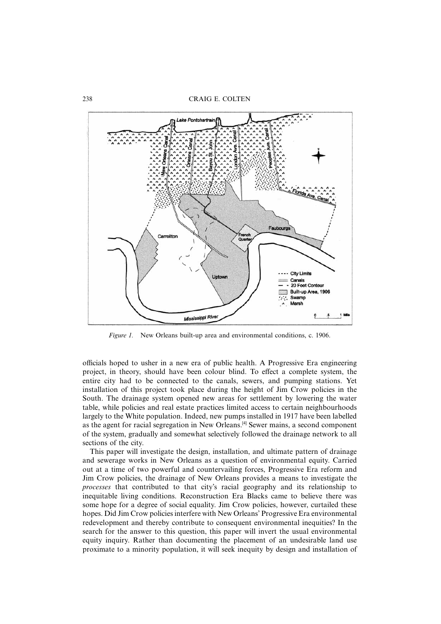238 CRAIG E. COLTEN



*Figure 1.* New Orleans built-up area and environmental conditions, c. 1906.

officials hoped to usher in a new era of public health. A Progressive Era engineering project, in theory, should have been colour blind. To effect a complete system, the entire city had to be connected to the canals, sewers, and pumping stations. Yet installation of this project took place during the height of Jim Crow policies in the South. The drainage system opened new areas for settlement by lowering the water table, while policies and real estate practices limited access to certain neighbourhoods largely to the White population. Indeed, new pumps installed in 1917 have been labelled as the agent for racial segregation in New Orlean[s.\[4\]](#page-17-0) Sewer mains, a second component of the system, gradually and somewhat selectively followed the drainage network to all sections of the city.

This paper will investigate the design, installation, and ultimate pattern of drainage and sewerage works in New Orleans as a question of environmental equity. Carried out at a time of two powerful and countervailing forces, Progressive Era reform and Jim Crow policies, the drainage of New Orleans provides a means to investigate the *processes* that contributed to that city's racial geography and its relationship to inequitable living conditions. Reconstruction Era Blacks came to believe there was some hope for a degree of social equality. Jim Crow policies, however, curtailed these hopes. Did Jim Crow policies interfere with New Orleans' Progressive Era environmental redevelopment and thereby contribute to consequent environmental inequities? In the search for the answer to this question, this paper will invert the usual environmental equity inquiry. Rather than documenting the placement of an undesirable land use proximate to a minority population, it will seek inequity by design and installation of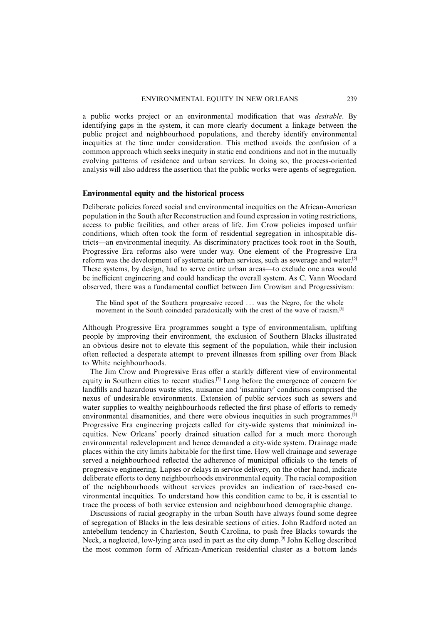a public works project or an environmental modification that was *desirable*. By identifying gaps in the system, it can more clearly document a linkage between the public project and neighbourhood populations, and thereby identify environmental inequities at the time under consideration. This method avoids the confusion of a common approach which seeks inequity in static end conditions and not in the mutually evolving patterns of residence and urban services. In doing so, the process-oriented analysis will also address the assertion that the public works were agents of segregation.

## **Environmental equity and the historical process**

Deliberate policies forced social and environmental inequities on the African-American population in the South after Reconstruction and found expression in voting restrictions, access to public facilities, and other areas of life. Jim Crow policies imposed unfair conditions, which often took the form of residential segregation in inhospitable districts—an environmental inequity. As discriminatory practices took root in the South, Progressive Era reforms also were under way. One element of the Progressive Era reform was the development of systematic urban services, such as sewerage and wate[r.\[5\]](#page-17-0) These systems, by design, had to serve entire urban areas—to exclude one area would be inefficient engineering and could handicap the overall system. As C. Vann Woodard observed, there was a fundamental conflict between Jim Crowism and Progressivism:

The blind spot of the Southern progressive record . . . was the Negro, for the whole movement in the South coincided paradoxically with the crest of the wave of racism.<sup>[6]</sup>

Although Progressive Era programmes sought a type of environmentalism, uplifting people by improving their environment, the exclusion of Southern Blacks illustrated an obvious desire not to elevate this segment of the population, while their inclusion often reflected a desperate attempt to prevent illnesses from spilling over from Black to White neighbourhoods.

The Jim Crow and Progressive Eras offer a starkly different view of environmental equity in Southern cities to recent studies.<sup>[7]</sup> Long before the emergence of concern for landfills and hazardous waste sites, nuisance and 'insanitary' conditions comprised the nexus of undesirable environments. Extension of public services such as sewers and water supplies to wealthy neighbourhoods reflected the first phase of efforts to remedy environmental disamenities, and there were obvious inequities in such programmes[.\[8\]](#page-17-0) Progressive Era engineering projects called for city-wide systems that minimized inequities. New Orleans' poorly drained situation called for a much more thorough environmental redevelopment and hence demanded a city-wide system. Drainage made places within the city limits habitable for the first time. How well drainage and sewerage served a neighbourhood reflected the adherence of municipal officials to the tenets of progressive engineering. Lapses or delays in service delivery, on the other hand, indicate deliberate efforts to deny neighbourhoods environmental equity. The racial composition of the neighbourhoods without services provides an indication of race-based environmental inequities. To understand how this condition came to be, it is essential to trace the process of both service extension and neighbourhood demographic change.

Discussions of racial geography in the urban South have always found some degree of segregation of Blacks in the less desirable sections of cities. John Radford noted an antebellum tendency in Charleston, South Carolina, to push free Blacks towards the Neck, a neglected, low-lying area used in part as the city dump[.\[9\]](#page-17-0) John Kellog described the most common form of African-American residential cluster as a bottom lands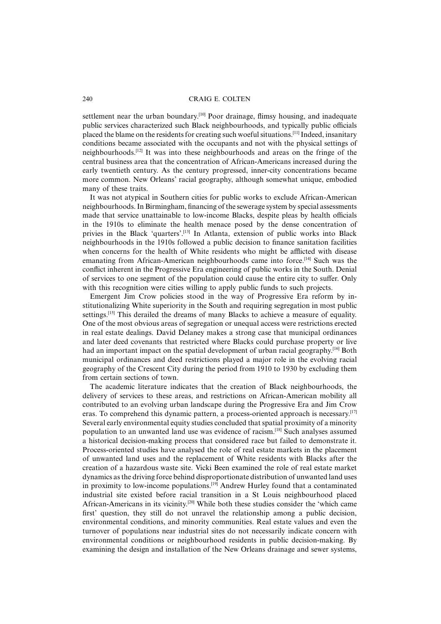settlement near the urban boundary.<sup>[10]</sup> Poor drainage, flimsy housing, and inadequate public services characterized such Black neighbourhoods, and typically public officials placed the blame on the residents for creating such woeful situations.<sup>[11]</sup> Indeed, insanitary conditions became associated with the occupants and not with the physical settings of neighbourhoods[.\[12\]](#page-17-0) It was into these neighbourhoods and areas on the fringe of the central business area that the concentration of African-Americans increased during the early twentieth century. As the century progressed, inner-city concentrations became more common. New Orleans' racial geography, although somewhat unique, embodied many of these traits.

It was not atypical in Southern cities for public works to exclude African-American neighbourhoods. In Birmingham, financing of the sewerage system by special assessments made that service unattainable to low-income Blacks, despite pleas by health officials in the 1910s to eliminate the health menace posed by the dense concentration of privies in the Black 'quarters'.<sup>[13]</sup> In Atlanta, extension of public works into Black neighbourhoods in the 1910s followed a public decision to finance sanitation facilities when concerns for the health of White residents who might be afflicted with disease emanating from African-American neighbourhoods came into force.<sup>[14]</sup> Such was the conflict inherent in the Progressive Era engineering of public works in the South. Denial of services to one segment of the population could cause the entire city to suffer. Only with this recognition were cities willing to apply public funds to such projects.

Emergent Jim Crow policies stood in the way of Progressive Era reform by institutionalizing White superiority in the South and requiring segregation in most public settings.<sup>[15]</sup> This derailed the dreams of many Blacks to achieve a measure of equality. One of the most obvious areas of segregation or unequal access were restrictions erected in real estate dealings. David Delaney makes a strong case that municipal ordinances and later deed covenants that restricted where Blacks could purchase property or live had an important impact on the spatial development of urban racial geography.<sup>[16]</sup> Both municipal ordinances and deed restrictions played a major role in the evolving racial geography of the Crescent City during the period from 1910 to 1930 by excluding them from certain sections of town.

The academic literature indicates that the creation of Black neighbourhoods, the delivery of services to these areas, and restrictions on African-American mobility all contributed to an evolving urban landscape during the Progressive Era and Jim Crow eras. To comprehend this dynamic pattern, a process-oriented approach is necessary.<sup>[17]</sup> Several early environmental equity studies concluded that spatial proximity of a minority population to an unwanted land use was evidence of racis[m.\[18\]](#page-18-0) Such analyses assumed a historical decision-making process that considered race but failed to demonstrate it. Process-oriented studies have analysed the role of real estate markets in the placement of unwanted land uses and the replacement of White residents with Blacks after the creation of a hazardous waste site. Vicki Been examined the role of real estate market dynamics as the driving force behind disproportionate distribution of unwanted land uses in proximity to low-income populations[.\[19\]](#page-18-0) Andrew Hurley found that a contaminated industrial site existed before racial transition in a St Louis neighbourhood placed African-Americans in its vicinit[y.\[20\]](#page-18-0) While both these studies consider the 'which came first' question, they still do not unravel the relationship among a public decision, environmental conditions, and minority communities. Real estate values and even the turnover of populations near industrial sites do not necessarily indicate concern with environmental conditions or neighbourhood residents in public decision-making. By examining the design and installation of the New Orleans drainage and sewer systems,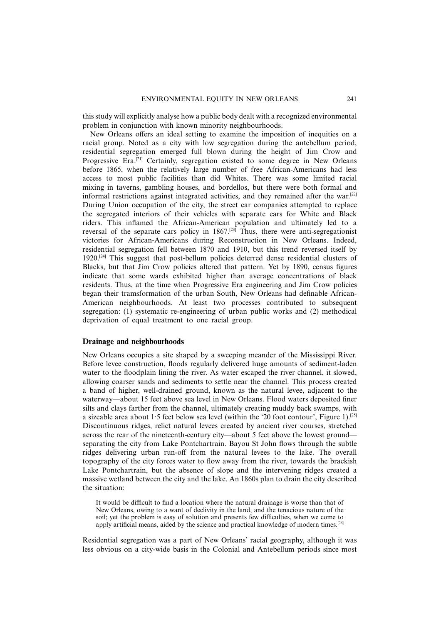this study will explicitly analyse how a public body dealt with a recognized environmental problem in conjunction with known minority neighbourhoods.

New Orleans offers an ideal setting to examine the imposition of inequities on a racial group. Noted as a city with low segregation during the antebellum period, residential segregation emerged full blown during the height of Jim Crow and Progressive Era.<sup>[21]</sup> Certainly, segregation existed to some degree in New Orleans before 1865, when the relatively large number of free African-Americans had less access to most public facilities than did Whites. There was some limited racial mixing in taverns, gambling houses, and bordellos, but there were both formal and informal restrictions against integrated activities, and they remained after the war.<sup>[22]</sup> During Union occupation of the city, the street car companies attempted to replace the segregated interiors of their vehicles with separate cars for White and Black riders. This inflamed the African-American population and ultimately led to a reversal of the separate cars policy in  $1867$ <sup>[23]</sup> Thus, there were anti-segregationist victories for African-Americans during Reconstruction in New Orleans. Indeed, residential segregation fell between 1870 and 1910, but this trend reversed itself by 192[0.\[24\]](#page-18-0) This suggest that post-bellum policies deterred dense residential clusters of Blacks, but that Jim Crow policies altered that pattern. Yet by 1890, census figures indicate that some wards exhibited higher than average concentrations of black residents. Thus, at the time when Progressive Era engineering and Jim Crow policies began their tramsformation of the urban South, New Orleans had definable African-American neighbourhoods. At least two processes contributed to subsequent segregation: (1) systematic re-engineering of urban public works and (2) methodical deprivation of equal treatment to one racial group.

## **Drainage and neighbourhoods**

New Orleans occupies a site shaped by a sweeping meander of the Mississippi River. Before levee construction, floods regularly delivered huge amounts of sediment-laden water to the floodplain lining the river. As water escaped the river channel, it slowed, allowing coarser sands and sediments to settle near the channel. This process created a band of higher, well-drained ground, known as the natural levee, adjacent to the waterway—about 15 feet above sea level in New Orleans. Flood waters deposited finer silts and clays farther from the channel, ultimately creating muddy back swamps, with a sizeable area about 1.5 feet below sea level (within the '20 foot contour', Figure 1).<sup>[25]</sup> Discontinuous ridges, relict natural levees created by ancient river courses, stretched across the rear of the nineteenth-century city—about 5 feet above the lowest ground separating the city from Lake Pontchartrain. Bayou St John flows through the subtle ridges delivering urban run-off from the natural levees to the lake. The overall topography of the city forces water to flow away from the river, towards the brackish Lake Pontchartrain, but the absence of slope and the intervening ridges created a massive wetland between the city and the lake. An 1860s plan to drain the city described the situation:

It would be difficult to find a location where the natural drainage is worse than that of New Orleans, owing to a want of declivity in the land, and the tenacious nature of the soil; yet the problem is easy of solution and presents few difficulties, when we come to apply artificial means, aided by the science and practical knowledge of modern times.<sup>[26]</sup>

Residential segregation was a part of New Orleans' racial geography, although it was less obvious on a city-wide basis in the Colonial and Antebellum periods since most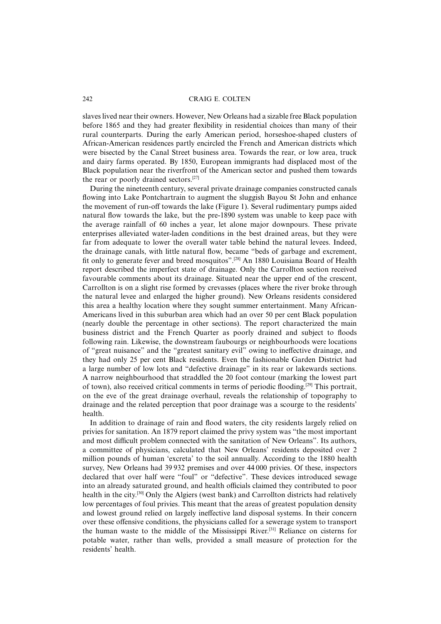#### 242 CRAIG E. COLTEN

slaves lived near their owners. However, New Orleans had a sizable free Black population before 1865 and they had greater flexibility in residential choices than many of their rural counterparts. During the early American period, horseshoe-shaped clusters of African-American residences partly encircled the French and American districts which were bisected by the Canal Street business area. Towards the rear, or low area, truck and dairy farms operated. By 1850, European immigrants had displaced most of the Black population near the riverfront of the American sector and pushed them towards the rear or poorly drained sectors.<sup>[27]</sup>

During the nineteenth century, several private drainage companies constructed canals flowing into Lake Pontchartrain to augment the sluggish Bayou St John and enhance the movement of run-off towards the lake (Figure 1). Several rudimentary pumps aided natural flow towards the lake, but the pre-1890 system was unable to keep pace with the average rainfall of 60 inches a year, let alone major downpours. These private enterprises alleviated water-laden conditions in the best drained areas, but they were far from adequate to lower the overall water table behind the natural levees. Indeed, the drainage canals, with little natural flow, became "beds of garbage and excrement, fit only to generate fever and breed mosquitos"[.\[28\]](#page-18-0) An 1880 Louisiana Board of Health report described the imperfect state of drainage. Only the Carrollton section received favourable comments about its drainage. Situated near the upper end of the crescent, Carrollton is on a slight rise formed by crevasses (places where the river broke through the natural levee and enlarged the higher ground). New Orleans residents considered this area a healthy location where they sought summer entertainment. Many African-Americans lived in this suburban area which had an over 50 per cent Black population (nearly double the percentage in other sections). The report characterized the main business district and the French Quarter as poorly drained and subject to floods following rain. Likewise, the downstream faubourgs or neighbourhoods were locations of "great nuisance" and the "greatest sanitary evil" owing to ineffective drainage, and they had only 25 per cent Black residents. Even the fashionable Garden District had a large number of low lots and "defective drainage" in its rear or lakewards sections. A narrow neighbourhood that straddled the 20 foot contour (marking the lowest part of town), also received critical comments in terms of periodic flooding.<sup>[29]</sup> This portrait, on the eve of the great drainage overhaul, reveals the relationship of topography to drainage and the related perception that poor drainage was a scourge to the residents' health.

In addition to drainage of rain and flood waters, the city residents largely relied on privies for sanitation. An 1879 report claimed the privy system was "the most important and most difficult problem connected with the sanitation of New Orleans". Its authors, a committee of physicians, calculated that New Orleans' residents deposited over 2 million pounds of human 'excreta' to the soil annually. According to the 1880 health survey, New Orleans had 39 932 premises and over 44 000 privies. Of these, inspectors declared that over half were "foul" or "defective". These devices introduced sewage into an already saturated ground, and health officials claimed they contributed to poor health in the cit[y.\[30\]](#page-18-0) Only the Algiers (west bank) and Carrollton districts had relatively low percentages of foul privies. This meant that the areas of greatest population density and lowest ground relied on largely ineffective land disposal systems. In their concern over these offensive conditions, the physicians called for a sewerage system to transport the human waste to the middle of the Mississippi Rive[r.\[31\]](#page-18-0) Reliance on cisterns for potable water, rather than wells, provided a small measure of protection for the residents' health.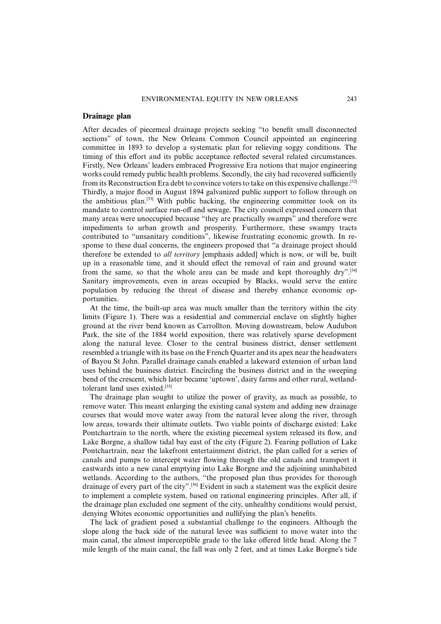## **Drainage plan**

After decades of piecemeal drainage projects seeking "to benefit small disconnected sections" of town, the New Orleans Common Council appointed an engineering committee in 1893 to develop a systematic plan for relieving soggy conditions. The timing of this effort and its public acceptance reflected several related circumstances. Firstly, New Orleans' leaders embraced Progressive Era notions that major engineering works could remedy public health problems. Secondly, the city had recovered sufficiently from its Reconstruction Era debt to convince voters to take on this expensive challenge[.\[32\]](#page-18-0) Thirdly, a major flood in August 1894 galvanized public support to follow through on the ambitious plan[.\[33\]](#page-18-0) With public backing, the engineering committee took on its mandate to control surface run-off and sewage. The city council expressed concern that many areas were unoccupied because "they are practically swamps" and therefore were impediments to urban growth and prosperity. Furthermore, these swampy tracts contributed to "unsanitary conditions", likewise frustrating economic growth. In response to these dual concerns, the engineers proposed that "a drainage project should therefore be extended to *all territory* [emphasis added] which is now, or will be, built up in a reasonable time, and it should effect the removal of rain and ground water from the same, so that the whole area can be made and kept thoroughly  $\text{dry}$ <sup>[34]</sup> Sanitary improvements, even in areas occupied by Blacks, would serve the entire population by reducing the threat of disease and thereby enhance economic opportunities.

At the time, the built-up area was much smaller than the territory within the city limits (Figure 1). There was a residential and commercial enclave on slightly higher ground at the river bend known as Carrollton. Moving downstream, below Audubon Park, the site of the 1884 world exposition, there was relatively sparse development along the natural levee. Closer to the central business district, denser settlement resembled a triangle with its base on the French Quarter and its apex near the headwaters of Bayou St John. Parallel drainage canals enabled a lakeward extension of urban land uses behind the business district. Encircling the business district and in the sweeping bend of the crescent, which later became 'uptown', dairy farms and other rural, wetlandtolerant land uses existe[d.\[35\]](#page-18-0)

The drainage plan sought to utilize the power of gravity, as much as possible, to remove water. This meant enlarging the existing canal system and adding new drainage courses that would move water away from the natural levee along the river, through low areas, towards their ultimate outlets. Two viable points of discharge existed: Lake Pontchartrain to the north, where the existing piecemeal system released its flow, and Lake Borgne, a shallow tidal bay east of the city (Figure 2). Fearing pollution of Lake Pontchartrain, near the lakefront entertainment district, the plan called for a series of canals and pumps to intercept water flowing through the old canals and transport it eastwards into a new canal emptying into Lake Borgne and the adjoining uninhabited wetlands. According to the authors, "the proposed plan thus provides for thorough drainage of every part of the city"[.\[36\]](#page-18-0) Evident in such a statement was the explicit desire to implement a complete system, based on rational engineering principles. After all, if the drainage plan excluded one segment of the city, unhealthy conditions would persist, denying Whites economic opportunities and nullifying the plan's benefits.

The lack of gradient posed a substantial challenge to the engineers. Although the slope along the back side of the natural levee was sufficient to move water into the main canal, the almost imperceptible grade to the lake offered little head. Along the 7 mile length of the main canal, the fall was only 2 feet, and at times Lake Borgne's tide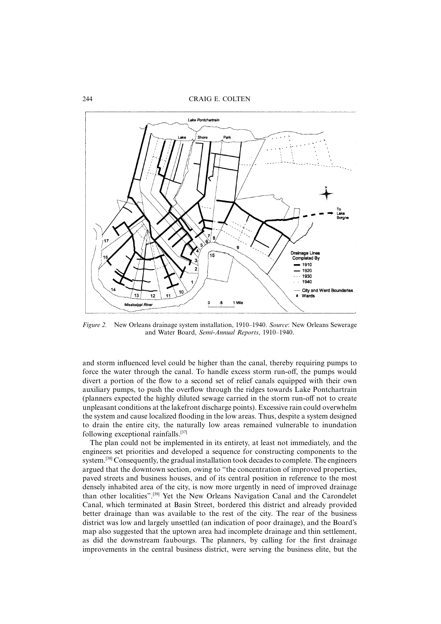

*Figure 2.* New Orleans drainage system installation, 1910–1940. *Source*: New Orleans Sewerage and Water Board, *Semi-Annual Reports*, 1910–1940.

and storm influenced level could be higher than the canal, thereby requiring pumps to force the water through the canal. To handle excess storm run-off, the pumps would divert a portion of the flow to a second set of relief canals equipped with their own auxiliary pumps, to push the overflow through the ridges towards Lake Pontchartrain (planners expected the highly diluted sewage carried in the storm run-off not to create unpleasant conditions at the lakefront discharge points). Excessive rain could overwhelm the system and cause localized flooding in the low areas. Thus, despite a system designed to drain the entire city, the naturally low areas remained vulnerable to inundation following exceptional rainfalls[.\[37\]](#page-18-0)

The plan could not be implemented in its entirety, at least not immediately, and the engineers set priorities and developed a sequence for constructing components to the system.<sup>[38]</sup> Consequently, the gradual installation took decades to complete. The engineers argued that the downtown section, owing to "the concentration of improved properties, paved streets and business houses, and of its central position in reference to the most densely inhabited area of the city, is now more urgently in need of improved drainage than other localities"[.\[39\]](#page-18-0) Yet the New Orleans Navigation Canal and the Carondelet Canal, which terminated at Basin Street, bordered this district and already provided better drainage than was available to the rest of the city. The rear of the business district was low and largely unsettled (an indication of poor drainage), and the Board's map also suggested that the uptown area had incomplete drainage and thin settlement, as did the downstream faubourgs. The planners, by calling for the first drainage improvements in the central business district, were serving the business elite, but the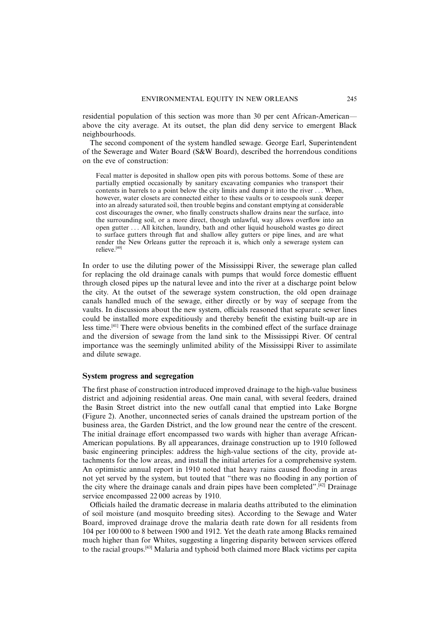residential population of this section was more than 30 per cent African-American above the city average. At its outset, the plan did deny service to emergent Black neighbourhoods.

The second component of the system handled sewage. George Earl, Superintendent of the Sewerage and Water Board (S&W Board), described the horrendous conditions on the eve of construction:

Fecal matter is deposited in shallow open pits with porous bottoms. Some of these are partially emptied occasionally by sanitary excavating companies who transport their contents in barrels to a point below the city limits and dump it into the river . . . When, however, water closets are connected either to these vaults or to cesspools sunk deeper into an already saturated soil, then trouble begins and constant emptying at considerable cost discourages the owner, who finally constructs shallow drains near the surface, into the surrounding soil, or a more direct, though unlawful, way allows overflow into an open gutter . . . All kitchen, laundry, bath and other liquid household wastes go direct to surface gutters through flat and shallow alley gutters or pipe lines, and are what render the New Orleans gutter the reproach it is, which only a sewerage system can relieve[.\[40\]](#page-18-0)

In order to use the diluting power of the Mississippi River, the sewerage plan called for replacing the old drainage canals with pumps that would force domestic effluent through closed pipes up the natural levee and into the river at a discharge point below the city. At the outset of the sewerage system construction, the old open drainage canals handled much of the sewage, either directly or by way of seepage from the vaults. In discussions about the new system, officials reasoned that separate sewer lines could be installed more expeditiously and thereby benefit the existing built-up are in less time[.\[41\]](#page-18-0) There were obvious benefits in the combined effect of the surface drainage and the diversion of sewage from the land sink to the Mississippi River. Of central importance was the seemingly unlimited ability of the Mississippi River to assimilate and dilute sewage.

## **System progress and segregation**

The first phase of construction introduced improved drainage to the high-value business district and adjoining residential areas. One main canal, with several feeders, drained the Basin Street district into the new outfall canal that emptied into Lake Borgne (Figure 2). Another, unconnected series of canals drained the upstream portion of the business area, the Garden District, and the low ground near the centre of the crescent. The initial drainage effort encompassed two wards with higher than average African-American populations. By all appearances, drainage construction up to 1910 followed basic engineering principles: address the high-value sections of the city, provide attachments for the low areas, and install the initial arteries for a comprehensive system. An optimistic annual report in 1910 noted that heavy rains caused flooding in areas not yet served by the system, but touted that "there was no flooding in any portion of the city where the drainage canals and drain pipes have been completed"[.\[42\]](#page-18-0) Drainage service encompassed 22 000 acreas by 1910.

Officials hailed the dramatic decrease in malaria deaths attributed to the elimination of soil moisture (and mosquito breeding sites). According to the Sewage and Water Board, improved drainage drove the malaria death rate down for all residents from 104 per 100 000 to 8 between 1900 and 1912. Yet the death rate among Blacks remained much higher than for Whites, suggesting a lingering disparity between services offered to the racial groups[.\[43\]](#page-19-0) Malaria and typhoid both claimed more Black victims per capita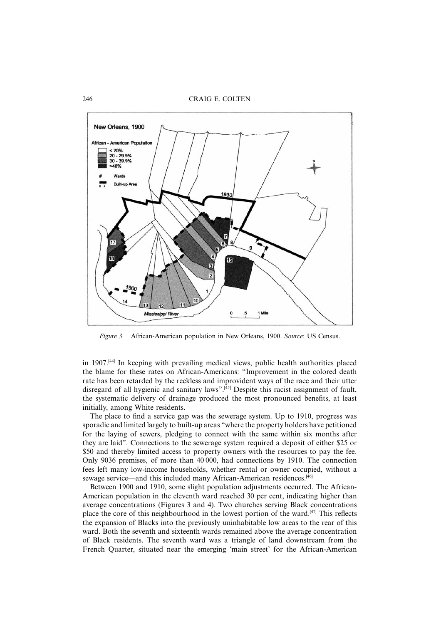246 CRAIG E. COLTEN



*Figure 3.* African-American population in New Orleans, 1900. *Source*: US Census.

in 190[7.\[44\]](#page-19-0) In keeping with prevailing medical views, public health authorities placed the blame for these rates on African-Americans: "Improvement in the colored death rate has been retarded by the reckless and improvident ways of the race and their utter disregard of all hygienic and sanitary laws"[.\[45\]](#page-19-0) Despite this racist assignment of fault, the systematic delivery of drainage produced the most pronounced benefits, at least initially, among White residents.

The place to find a service gap was the sewerage system. Up to 1910, progress was sporadic and limited largely to built-up areas "where the property holders have petitioned for the laying of sewers, pledging to connect with the same within six months after they are laid". Connections to the sewerage system required a deposit of either \$25 or \$50 and thereby limited access to property owners with the resources to pay the fee. Only 9036 premises, of more than 40 000, had connections by 1910. The connection fees left many low-income households, whether rental or owner occupied, without a sewage service—and this included many African-American residences[.\[46\]](#page-19-0)

Between 1900 and 1910, some slight population adjustments occurred. The African-American population in the eleventh ward reached 30 per cent, indicating higher than average concentrations (Figures 3 and 4). Two churches serving Black concentrations place the core of this neighbourhood in the lowest portion of the ward.<sup>[47]</sup> This reflects the expansion of Blacks into the previously uninhabitable low areas to the rear of this ward. Both the seventh and sixteenth wards remained above the average concentration of Black residents. The seventh ward was a triangle of land downstream from the French Quarter, situated near the emerging 'main street' for the African-American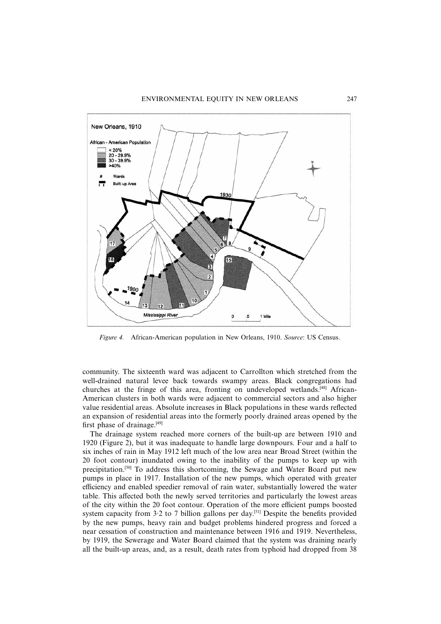

*Figure 4.* African-American population in New Orleans, 1910. *Source*: US Census.

community. The sixteenth ward was adjacent to Carrollton which stretched from the well-drained natural levee back towards swampy areas. Black congregations had churches at the fringe of this area, fronting on undeveloped wetlands[.\[48\]](#page-19-0) African-American clusters in both wards were adjacent to commercial sectors and also higher value residential areas. Absolute increases in Black populations in these wards reflected an expansion of residential areas into the formerly poorly drained areas opened by the first phase of drainage[.\[49\]](#page-19-0)

The drainage system reached more corners of the built-up are between 1910 and 1920 (Figure 2), but it was inadequate to handle large downpours. Four and a half to six inches of rain in May 1912 left much of the low area near Broad Street (within the 20 foot contour) inundated owing to the inability of the pumps to keep up with precipitation.<sup>[50]</sup> To address this shortcoming, the Sewage and Water Board put new pumps in place in 1917. Installation of the new pumps, which operated with greater efficiency and enabled speedier removal of rain water, substantially lowered the water table. This affected both the newly served territories and particularly the lowest areas of the city within the 20 foot contour. Operation of the more efficient pumps boosted system capacity from  $3.2$  to 7 billion gallons per day.<sup>[51]</sup> Despite the benefits provided by the new pumps, heavy rain and budget problems hindered progress and forced a near cessation of construction and maintenance between 1916 and 1919. Nevertheless, by 1919, the Sewerage and Water Board claimed that the system was draining nearly all the built-up areas, and, as a result, death rates from typhoid had dropped from 38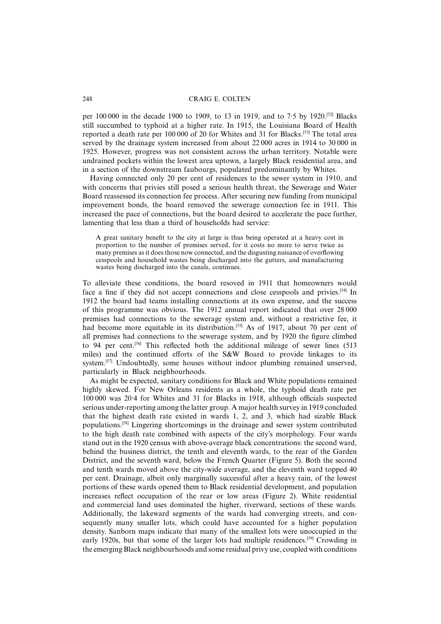#### 248 CRAIG E. COLTEN

per 100 000 in the decade 1900 to 1909, to 13 in 1919, and to 7·5 by 1920[.\[52\]](#page-19-0) Blacks still succumbed to typhoid at a higher rate. In 1915, the Louisiana Board of Health reported a death rate per 100 000 of 20 for Whites and 31 for Black[s.\[53\]](#page-19-0) The total area served by the drainage system increased from about 22 000 acres in 1914 to 30 000 in 1925. However, progress was not consistent across the urban territory. Notable were undrained pockets within the lowest area uptown, a largely Black residential area, and in a section of the downstream faubourgs, populated predominantly by Whites.

Having connected only 20 per cent of residences to the sewer system in 1910, and with concerns that privies still posed a serious health threat, the Sewerage and Water Board reassessed its connection fee process. After securing new funding from municipal improvement bonds, the board removed the sewerage connection fee in 1911. This increased the pace of connections, but the board desired to accelerate the pace further, lamenting that less than a third of households had service:

A great sanitary benefit to the city at large is thus being operated at a heavy cost in proportion to the number of premises served, for it costs no more to serve twice as many premises as it does those now connected, and the disgusting nuisance of overflowing cesspools and household wastes being discharged into the gutters, and manufacturing wastes being discharged into the canals, continues.

To alleviate these conditions, the board resoved in 1911 that homeowners would face a fine if they did not accept connections and close cesspools and privies[.\[54\]](#page-19-0) In 1912 the board had teams installing connections at its own expense, and the success of this programme was obvious. The 1912 annual report indicated that over 28 000 premises had connections to the sewerage system and, without a restrictive fee, it had become more equitable in its distribution.<sup>[55]</sup> As of 1917, about 70 per cent of all premises had connections to the sewerage system, and by 1920 the figure climbed to 94 per cent.<sup>[56]</sup> This reflected both the additional mileage of sewer lines (513 miles) and the continued efforts of the S&W Board to provide linkages to its system.<sup>[57]</sup> Undoubtedly, some houses without indoor plumbing remained unserved, particularly in Black neighbourhoods.

As might be expected, sanitary conditions for Black and White populations remained highly skewed. For New Orleans residents as a whole, the typhoid death rate per 100 000 was 20·4 for Whites and 31 for Blacks in 1918, although officials suspected serious under-reporting among the latter group. A major health survey in 1919 concluded that the highest death rate existed in wards 1, 2, and 3, which had sizable Black populations[.\[58\]](#page-19-0) Lingering shortcomings in the drainage and sewer system contributed to the high death rate combined with aspects of the city's morphology. Four wards stand out in the 1920 census with above-average black concentrations: the second ward, behind the business district, the tenth and eleventh wards, to the rear of the Garden District, and the seventh ward, below the French Quarter (Figure 5). Both the second and tenth wards moved above the city-wide average, and the eleventh ward topped 40 per cent. Drainage, albeit only marginally successful after a heavy rain, of the lowest portions of these wards opened them to Black residential development, and population increases reflect occupation of the rear or low areas (Figure 2). White residential and commercial land uses dominated the higher, riverward, sections of these wards. Additionally, the lakeward segments of the wards had converging streets, and consequently many smaller lots, which could have accounted for a higher population density. Sanborn maps indicate that many of the smallest lots were unoccupied in the early 1920s, but that some of the larger lots had multiple residences[.\[59\]](#page-19-0) Crowding in the emerging Black neighbourhoods and some residual privy use, coupled with conditions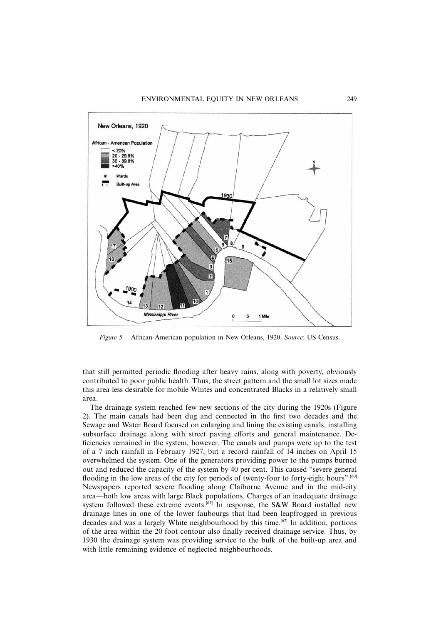

*Figure 5.* African-American population in New Orleans, 1920. *Source*: US Census.

that still permitted periodic flooding after heavy rains, along with poverty, obviously contributed to poor public health. Thus, the street pattern and the small lot sizes made this area less desirable for mobile Whites and concentrated Blacks in a relatively small area.

The drainage system reached few new sections of the city during the 1920s (Figure 2). The main canals had been dug and connected in the first two decades and the Sewage and Water Board focused on enlarging and lining the existing canals, installing subsurface drainage along with street paving efforts and general maintenance. Deficiencies remained in the system, however. The canals and pumps were up to the test of a 7 inch rainfall in February 1927, but a record rainfall of 14 inches on April 15 overwhelmed the system. One of the generators providing power to the pumps burned out and reduced the capacity of the system by 40 per cent. This caused "severe general flooding in the low areas of the city for periods of twenty-four to forty-eight hours"[.\[60\]](#page-19-0) Newspapers reported severe flooding along Claiborne Avenue and in the mid-city area—both low areas with large Black populations. Charges of an inadequate drainage system followed these extreme events.<sup>[61]</sup> In response, the S&W Board installed new drainage lines in one of the lower faubourgs that had been leapfrogged in previous decades and was a largely White neighbourhood by this time.<sup>[62]</sup> In addition, portions of the area within the 20 foot contour also finally received drainage service. Thus, by 1930 the drainage system was providing service to the bulk of the built-up area and with little remaining evidence of neglected neighbourhoods.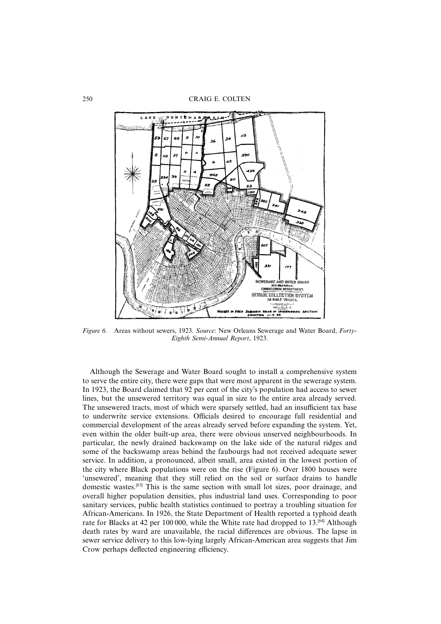250 CRAIG E. COLTEN



*Figure 6.* Areas without sewers, 1923. *Source*: New Orleans Sewerage and Water Board, *Forty-Eighth Semi-Annual Report*, 1923.

Although the Sewerage and Water Board sought to install a comprehensive system to serve the entire city, there were gaps that were most apparent in the sewerage system. In 1923, the Board claimed that 92 per cent of the city's population had access to sewer lines, but the unsewered territory was equal in size to the entire area already served. The unsewered tracts, most of which were sparsely settled, had an insufficient tax base to underwrite service extensions. Officials desired to encourage full residential and commercial development of the areas already served before expanding the system. Yet, even within the older built-up area, there were obvious unserved neighbourhoods. In particular, the newly drained backswamp on the lake side of the natural ridges and some of the backswamp areas behind the faubourgs had not received adequate sewer service. In addition, a pronounced, albeit small, area existed in the lowest portion of the city where Black populations were on the rise (Figure 6). Over 1800 houses were 'unsewered', meaning that they still relied on the soil or surface drains to handle domestic wastes[.\[63\]](#page-19-0) This is the same section with small lot sizes, poor drainage, and overall higher population densities, plus industrial land uses. Corresponding to poor sanitary services, public health statistics continued to portray a troubling situation for African-Americans. In 1926, the State Department of Health reported a typhoid death rate for Blacks at 42 per 100 000, while the White rate had dropped to 13.<sup>[64]</sup> Although death rates by ward are unavailable, the racial differences are obvious. The lapse in sewer service delivery to this low-lying largely African-American area suggests that Jim Crow perhaps deflected engineering efficiency.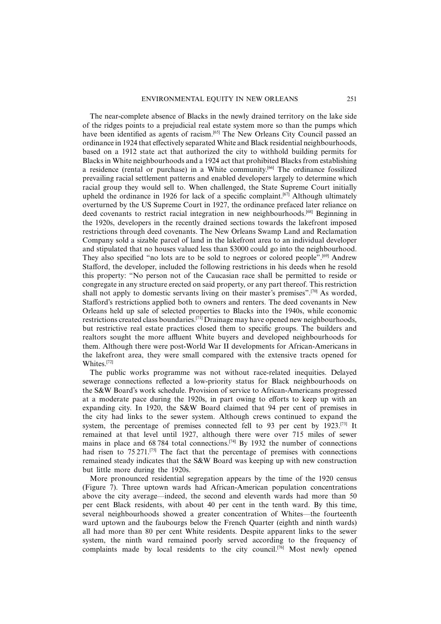The near-complete absence of Blacks in the newly drained territory on the lake side of the ridges points to a prejudicial real estate system more so than the pumps which have been identified as agents of racism.<sup>[65]</sup> The New Orleans City Council passed an ordinance in 1924 that effectively separated White and Black residential neighbourhoods, based on a 1912 state act that authorized the city to withhold building permits for Blacks in White neighbourhoods and a 1924 act that prohibited Blacks from establishing a residence (rental or purchase) in a White communit[y.\[66\]](#page-19-0) The ordinance fossilized prevailing racial settlement patterns and enabled developers largely to determine which racial group they would sell to. When challenged, the State Supreme Court initially upheld the ordinance in 1926 for lack of a specific complaint.<sup>[67]</sup> Although ultimately overturned by the US Supreme Court in 1927, the ordinance prefaced later reliance on deed covenants to restrict racial integration in new neighbourhoods[.\[68\]](#page-19-0) Beginning in the 1920s, developers in the recently drained sections towards the lakefront imposed restrictions through deed covenants. The New Orleans Swamp Land and Reclamation Company sold a sizable parcel of land in the lakefront area to an individual developer and stipulated that no houses valued less than \$3000 could go into the neighbourhood. They also specified "no lots are to be sold to negroes or colored people"[.\[69\]](#page-19-0) Andrew Stafford, the developer, included the following restrictions in his deeds when he resold this property: "No person not of the Caucasian race shall be permitted to reside or congregate in any structure erected on said property, or any part thereof. This restriction shall not apply to domestic servants living on their master's premises"[.\[70\]](#page-20-0) As worded, Stafford's restrictions applied both to owners and renters. The deed covenants in New Orleans held up sale of selected properties to Blacks into the 1940s, while economic restrictions created class boundaries.<sup>[71]</sup> Drainage may have opened new neighbourhoods, but restrictive real estate practices closed them to specific groups. The builders and realtors sought the more affluent White buyers and developed neighbourhoods for them. Although there were post-World War II developments for African-Americans in the lakefront area, they were small compared with the extensive tracts opened for Whites[.\[72\]](#page-20-0)

The public works programme was not without race-related inequities. Delayed sewerage connections reflected a low-priority status for Black neighbourhoods on the S&W Board's work schedule. Provision of service to African-Americans progressed at a moderate pace during the 1920s, in part owing to efforts to keep up with an expanding city. In 1920, the S&W Board claimed that 94 per cent of premises in the city had links to the sewer system. Although crews continued to expand the system, the percentage of premises connected fell to 93 per cent by 1923.<sup>[73]</sup> It remained at that level until 1927, although there were over 715 miles of sewer mains in place and 68.784 total connections.<sup>[74]</sup> By 1932 the number of connections had risen to 75 271.<sup>[75]</sup> The fact that the percentage of premises with connections remained steady indicates that the S&W Board was keeping up with new construction but little more during the 1920s.

More pronounced residential segregation appears by the time of the 1920 census (Figure 7). Three uptown wards had African-American population concentrations above the city average—indeed, the second and eleventh wards had more than 50 per cent Black residents, with about 40 per cent in the tenth ward. By this time, several neighbourhoods showed a greater concentration of Whites—the fourteenth ward uptown and the faubourgs below the French Quarter (eighth and ninth wards) all had more than 80 per cent White residents. Despite apparent links to the sewer system, the ninth ward remained poorly served according to the frequency of complaints made by local residents to the city council.<sup>[76]</sup> Most newly opened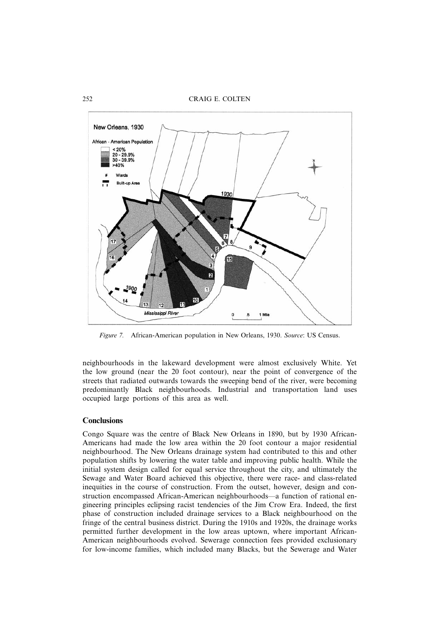252 CRAIG E. COLTEN



*Figure 7.* African-American population in New Orleans, 1930. *Source*: US Census.

neighbourhoods in the lakeward development were almost exclusively White. Yet the low ground (near the 20 foot contour), near the point of convergence of the streets that radiated outwards towards the sweeping bend of the river, were becoming predominantly Black neighbourhoods. Industrial and transportation land uses occupied large portions of this area as well.

## **Conclusions**

Congo Square was the centre of Black New Orleans in 1890, but by 1930 African-Americans had made the low area within the 20 foot contour a major residential neighbourhood. The New Orleans drainage system had contributed to this and other population shifts by lowering the water table and improving public health. While the initial system design called for equal service throughout the city, and ultimately the Sewage and Water Board achieved this objective, there were race- and class-related inequities in the course of construction. From the outset, however, design and construction encompassed African-American neighbourhoods—a function of rational engineering principles eclipsing racist tendencies of the Jim Crow Era. Indeed, the first phase of construction included drainage services to a Black neighbourhood on the fringe of the central business district. During the 1910s and 1920s, the drainage works permitted further development in the low areas uptown, where important African-American neighbourhoods evolved. Sewerage connection fees provided exclusionary for low-income families, which included many Blacks, but the Sewerage and Water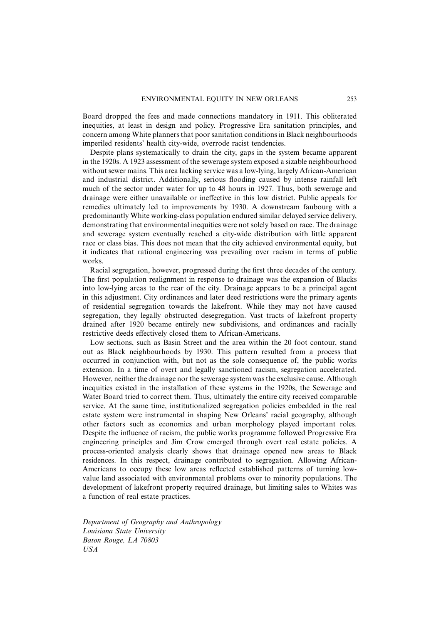Board dropped the fees and made connections mandatory in 1911. This obliterated inequities, at least in design and policy. Progressive Era sanitation principles, and concern among White planners that poor sanitation conditions in Black neighbourhoods imperiled residents' health city-wide, overrode racist tendencies.

Despite plans systematically to drain the city, gaps in the system became apparent in the 1920s. A 1923 assessment of the sewerage system exposed a sizable neighbourhood without sewer mains. This area lacking service was a low-lying, largely African-American and industrial district. Additionally, serious flooding caused by intense rainfall left much of the sector under water for up to 48 hours in 1927. Thus, both sewerage and drainage were either unavailable or ineffective in this low district. Public appeals for remedies ultimately led to improvements by 1930. A downstream faubourg with a predominantly White working-class population endured similar delayed service delivery, demonstrating that environmental inequities were not solely based on race. The drainage and sewerage system eventually reached a city-wide distribution with little apparent race or class bias. This does not mean that the city achieved environmental equity, but it indicates that rational engineering was prevailing over racism in terms of public works.

Racial segregation, however, progressed during the first three decades of the century. The first population realignment in response to drainage was the expansion of Blacks into low-lying areas to the rear of the city. Drainage appears to be a principal agent in this adjustment. City ordinances and later deed restrictions were the primary agents of residential segregation towards the lakefront. While they may not have caused segregation, they legally obstructed desegregation. Vast tracts of lakefront property drained after 1920 became entirely new subdivisions, and ordinances and racially restrictive deeds effectively closed them to African-Americans.

Low sections, such as Basin Street and the area within the 20 foot contour, stand out as Black neighbourhoods by 1930. This pattern resulted from a process that occurred in conjunction with, but not as the sole consequence of, the public works extension. In a time of overt and legally sanctioned racism, segregation accelerated. However, neither the drainage nor the sewerage system was the exclusive cause. Although inequities existed in the installation of these systems in the 1920s, the Sewerage and Water Board tried to correct them. Thus, ultimately the entire city received comparable service. At the same time, institutionalized segregation policies embedded in the real estate system were instrumental in shaping New Orleans' racial geography, although other factors such as economics and urban morphology played important roles. Despite the influence of racism, the public works programme followed Progressive Era engineering principles and Jim Crow emerged through overt real estate policies. A process-oriented analysis clearly shows that drainage opened new areas to Black residences. In this respect, drainage contributed to segregation. Allowing African-Americans to occupy these low areas reflected established patterns of turning lowvalue land associated with environmental problems over to minority populations. The development of lakefront property required drainage, but limiting sales to Whites was a function of real estate practices.

*Department of Geography and Anthropology Louisiana State University Baton Rouge, LA 70803 USA*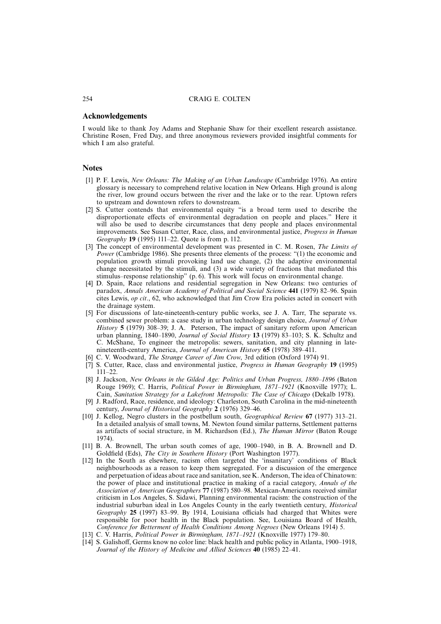#### <span id="page-17-0"></span>**Acknowledgements**

I would like to thank Joy Adams and Stephanie Shaw for their excellent research assistance. Christine Rosen, Fred Day, and three anonymous reviewers provided insightful comments for which I am also grateful.

## **Notes**

- [1] P. F. Lewis, *New Orleans: The Making of an Urban Landscape* (Cambridge 1976). An entire glossary is necessary to comprehend relative location in New Orleans. High ground is along the river, low ground occurs between the river and the lake or to the rear. Uptown refers to upstream and downtown refers to downstream.
- [2] S. Cutter contends that environmental equity "is a broad term used to describe the disproportionate effects of environmental degradation on people and places." Here it will also be used to describe circumstances that deny people and places environmental improvements. See Susan Cutter, Race, class, and environmental justice, *Progress in Human Geography* **19** (1995) 111–22. Quote is from p. 112.
- [3] The concept of environmental development was presented in C. M. Rosen, *The Limits of Power* (Cambridge 1986). She presents three elements of the process: "(1) the economic and population growth stimuli provoking land use change, (2) the adaptive environmental change necessitated by the stimuli, and (3) a wide variety of fractions that mediated this stimulus–response relationship" (p. 6). This work will focus on environmental change.
- [4] D. Spain, Race relations and residential segregation in New Orleans: two centuries of paradox, *Annals American Academy of Political and Social Science* **441** (1979) 82–96. Spain cites Lewis, *op cit*., 62, who acknowledged that Jim Crow Era policies acted in concert with the drainage system.
- [5] For discussions of late-nineteenth-century public works, see J. A. Tarr, The separate vs. combined sewer problem: a case study in urban technology design choice, *Journal of Urban History* **5** (1979) 308–39; J. A. Peterson, The impact of sanitary reform upon American urban planning, 1840–1890, *Journal of Social History* **13** (1979) 83–103; S. K. Schultz and C. McShane, To engineer the metropolis: sewers, sanitation, and city planning in latenineteenth-century America, *Journal of American History* **65** (1978) 389–411.
- [6] C. V. Woodward, *The Strange Career of Jim Crow*, 3rd edition (Oxford 1974) 91.
- [7] S. Cutter, Race, class and environmental justice, *Progress in Human Geography* **19** (1995)  $111 - 22$
- [8] J. Jackson, *New Orleans in the Gilded Age: Politics and Urban Progress, 1880–1896* (Baton Rouge 1969); C. Harris, *Political Power in Birmingham, 1871–1921* (Knoxville 1977); L. Cain, *Sanitation Strategy for a Lakefront Metropolis: The Case of Chicago* (Dekalb 1978).
- [9] J. Radford, Race, residence, and ideology: Charleston, South Carolina in the mid-nineteenth century, *Journal of Historical Geography* **2** (1976) 329–46.
- [10] J. Kellog, Negro clusters in the postbellum south, *Geographical Review* **67** (1977) 313–21. In a detailed analysis of small towns, M. Newton found similar patterns, Settlement patterns as artifacts of social structure, in M. Richardson (Ed.), *The Human Mirror* (Baton Rouge 1974).
- [11] B. A. Brownell, The urban south comes of age, 1900–1940, in B. A. Brownell and D. Goldfield (Eds), *The City in Southern History* (Port Washington 1977).
- [12] In the South as elsewhere, racism often targeted the 'insanitary' conditions of Black neighbourhoods as a reason to keep them segregated. For a discussion of the emergence and perpetuation of ideas about race and sanitation, see K. Anderson, The idea of Chinatown: the power of place and institutional practice in making of a racial category, *Annals of the Association of American Geographers* **77** (1987) 580–98. Mexican-Americans received similar criticism in Los Angeles, S. Sidawi, Planning environmental racism: the construction of the industrial suburban ideal in Los Angeles County in the early twentieth century, *Historical Geography* **25** (1997) 83–99. By 1914, Louisiana officials had charged that Whites were responsible for poor health in the Black population. See, Louisiana Board of Health, *Conference for Betterment of Health Conditions Among Negroes* (New Orleans 1914) 5.
- [13] C. V. Harris, *Political Power in Birmingham, 1871–1921* (Knoxville 1977) 179–80.
- [14] S. Galishoff, Germs know no color line: black health and public policy in Atlanta, 1900–1918, *Journal of the History of Medicine and Allied Sciences* **40** (1985) 22–41.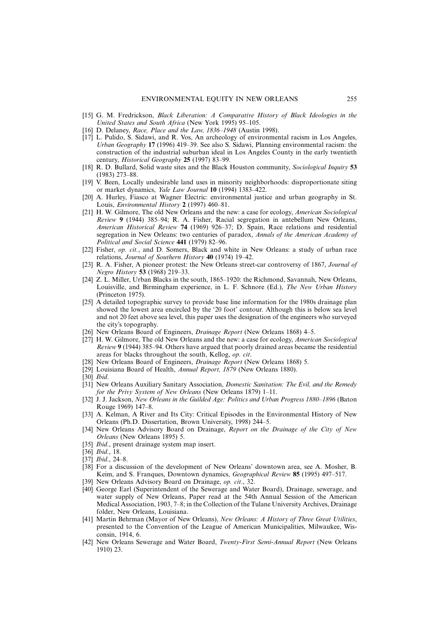- <span id="page-18-0"></span>[15] G. M. Fredrickson, *Black Liberation: A Comparative History of Black Ideologies in the United States and South Africa* (New York 1995) 95–105.
- [16] D. Delaney, *Race, Place and the Law, 1836–1948* (Austin 1998).
- [17] L. Pulido, S. Sidawi, and R. Vos, An archeology of environmental racism in Los Angeles, *Urban Geography* **17** (1996) 419–39. See also S. Sidawi, Planning environmental racism: the construction of the industrial suburban ideal in Los Angeles County in the early twentieth century, *Historical Geography* **25** (1997) 83–99.
- [18] R. D. Bullard, Solid waste sites and the Black Houston community, *Sociological Inquiry* **53** (1983) 273–88.
- [19] V. Been, Locally undesirable land uses in minority neighborhoods: disproportionate siting or market dynamics, *Yale Law Journal* **10** (1994) 1383–422.
- [20] A. Hurley, Fiasco at Wagner Electric: environmental justice and urban geography in St. Louis, *Environmental History* **2** (1997) 460–81.
- [21] H. W. Gilmore, The old New Orleans and the new: a case for ecology, *American Sociological Review* **9** (1944) 385–94; R. A. Fisher, Racial segregation in antebellum New Orleans, *American Historical Review* **74** (1969) 926–37; D. Spain, Race relations and residential segregation in New Orleans: two centuries of paradox, *Annals of the American Academy of Political and Social Science* **441** (1979) 82–96.
- [22] Fisher, *op. cit.*, and D. Somers, Black and white in New Orleans: a study of urban race relations, *Journal of Southern History* **40** (1974) 19–42.
- [23] R. A. Fisher, A pioneer protest: the New Orleans street-car controversy of 1867, *Journal of Negro History* **53** (1968) 219–33.
- [24] Z. L. Miller, Urban Blacks in the south, 1865–1920: the Richmond, Savannah, New Orleans, Louisville, and Birmingham experience, in L. F. Schnore (Ed.), *The New Urban History* (Princeton 1975).
- [25] A detailed topographic survey to provide base line information for the 1980s drainage plan showed the lowest area encircled by the '20 foot' contour. Although this is below sea level and not 20 feet above sea level, this paper uses the designation of the engineers who surveyed the city's topography.
- [26] New Orleans Board of Engineers, *Drainage Report* (New Orleans 1868) 4–5.
- [27] H. W. Gilmore, The old New Orleans and the new: a case for ecology, *American Sociological Review* **9** (1944) 385–94. Others have argued that poorly drained areas became the residential areas for blacks throughout the south, Kellog, *op. cit*.
- [28] New Orleans Board of Engineers, *Drainage Report* (New Orleans 1868) 5.
- [29] Louisiana Board of Health, *Annual Report, 1879* (New Orleans 1880).
- [30] *Ibid*.
- [31] New Orleans Auxiliary Sanitary Association, *Domestic Sanitation: The Evil, and the Remedy for the Privy System of New Orleans* (New Orleans 1879) 1–11.
- [32] J. J. Jackson, *New Orleans in the Guilded Age: Politics and Urban Progress 1880–1896* (Baton Rouge 1969) 147–8.
- [33] A. Kelman, A River and Its City: Critical Episodes in the Environmental History of New Orleans (Ph.D. Dissertation, Brown University, 1998) 244–5.
- [34] New Orleans Advisory Board on Drainage, *Report on the Drainage of the City of New Orleans* (New Orleans 1895) 5.
- [35] *Ibid.*, present drainage system map insert.
- [36] *Ibid*., 18.
- [37] *Ibid*., 24–8.
- [38] For a discussion of the development of New Orleans' downtown area, see A. Mosher, B. Keim, and S. Franques, Downtown dynamics, *Geographical Review* **85** (1995) 497–517.
- [39] New Orleans Advisory Board on Drainage, *op. cit*., 32.
- [40] George Earl (Superintendent of the Sewerage and Water Board), Drainage, sewerage, and water supply of New Orleans, Paper read at the 54th Annual Session of the American Medical Association, 1903, 7–8; in the Collection of the Tulane University Archives, Drainage folder, New Orleans, Louisiana.
- [41] Martin Behrman (Mayor of New Orleans), *New Orleans: A History of Three Great Utilities*, presented to the Convention of the League of American Municipalities, Milwaukee, Wisconsin, 1914, 6.
- [42] New Orleans Sewerage and Water Board, *Twenty-First Semi-Annual Report* (New Orleans 1910) 23.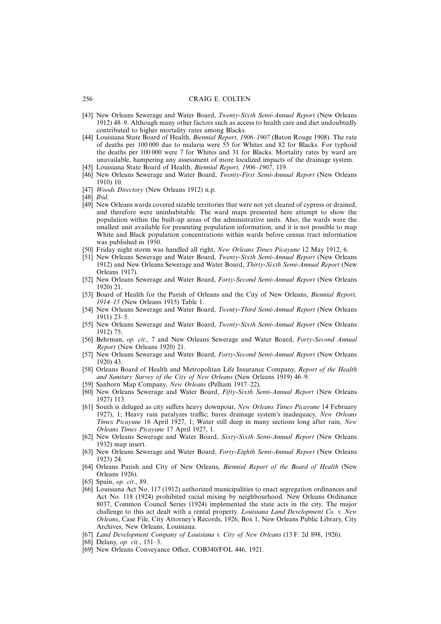#### <span id="page-19-0"></span>256 CRAIG E. COLTEN

- [43] New Orleans Sewerage and Water Board, *Twenty-Sixth Semi-Annual Report* (New Orleans 1912) 48–9. Although many other factors such as access to health care and diet undoubtedly contributed to higher mortality rates among Blacks.
- [44] Louisiana State Board of Health, *Biennial Report, 1906–1907* (Baton Rouge 1908). The rate of deaths per 100 000 due to malaria were 55 for Whites and 82 for Blacks. For typhoid the deaths per 100 000 were 7 for Whites and 31 for Blacks. Mortality rates by ward are unavailable, hampering any assessment of more localized impacts of the drainage system.
- [45] Louisiana State Board of Health, *Biennial Report, 1906–1907*, 119.
- [46] New Orleans Sewerage and Water Board, *Twenty-First Semi-Annual Report* (New Orleans 1910) 10.
- [47] *Woods Directory* (New Orleans 1912) n.p.
- [48] *Ibid*.
- [49] New Orleans wards covered sizable territories that were not yet cleared of cypress or drained, and therefore were uninhabitable. The ward maps presented here attempt to show the population within the built-up areas of the administrative units. Also, the wards were the smallest unit available for presenting population information, and it is not possible to map White and Black population concentrations within wards before census tract information was published in 1950.
- [50] Friday night storm was handled all right, *New Orleans Times Picayune* 12 May 1912, 6.
- [51] New Orleans Sewerage and Water Board, *Twenty-Sixth Semi-Annual Report* (New Orleans 1912) and New Orleans Sewerage and Water Board, *Thirty-Sixth Semi-Annual Report* (New Orleans 1917).
- [52] New Orleans Sewerage and Water Board, *Forty-Second Semi-Annual Report* (New Orleans 1920) 21.
- [53] Board of Health for the Parish of Orleans and the City of New Orleans, *Biennial Report, 1914–15* (New Orleans 1915) Table 1.
- [54] New Orleans Sewerage and Water Board, *Twenty-Third Semi-Annual Report* (New Orleans 1911) 23–5.
- [55] New Orleans Sewerage and Water Board, *Twenty-Sixth Semi-Annual Report* (New Orleans 1912) 75.
- [56] Behrman, *op. cit*., 7 and New Orleans Sewerage and Water Board, *Forty-Second Annual Report* (New Orleans 1920) 21.
- [57] New Orleans Sewerage and Water Board, *Forty-Second Semi-Annual Report* (New Orleans 1920) 43.
- [58] Orleans Board of Health and Metropolitan Life Insurance Company, *Report of the Health and Sanitary Survey of the City of New Orleans* (New Orleans 1919) 46–9.
- [59] Sanborn Map Company, *New Orleans* (Pelham 1917–22).
- [60] New Orleans Sewerage and Water Board, *Fifty-Sixth Semi-Annual Report* (New Orleans 1927) 113.
- [61] South is deluged as city suffers heavy downpour, *New Orleans Times Picayune* 14 February 1927), 1; Heavy rain paralyzes traffic; bares drainage system's inadequacy, *New Orleans Times Picayune* 16 April 1927, 1; Water still deep in many sections long after rain, *New Orleans Times Picayune* 17 April 1927, 1.
- [62] New Orleans Sewerage and Water Board, *Sixty-Sixth Semi-Annual Report* (New Orleans 1932) map insert.
- [63] New Orleans Sewerage and Water Board, *Forty-Eighth Semi-Annual Report* (New Orleans 1923) 24.
- [64] Orleans Parish and City of New Orleans, *Biennial Report of the Board of Health* (New Orleans 1926).
- [65] Spain, *op. cit*., 89.
- [66] Louisiana Act No. 117 (1912) authorized municipalities to enact segregation ordinances and Act No. 118 (1924) prohibited racial mixing by neighbourhood. New Orleans Ordinance 8037, Common Council Series (1924) implemented the state acts in the city. The major challenge to this act dealt with a rental property. *Louisiana Land Development Co. v. New Orleans*, Case File, City Attorney's Records, 1926, Box 1, New Orleans Public Library, City Archives, New Orleans, Louisiana.
- [67] *Land Development Company of Louisiana v. City of New Orleans* (13 F. 2d 898, 1926).
- [68] Delany, *op. cit*., 151–3.
- [69] New Orleans Conveyance Office, COB340/FOL 446, 1921.